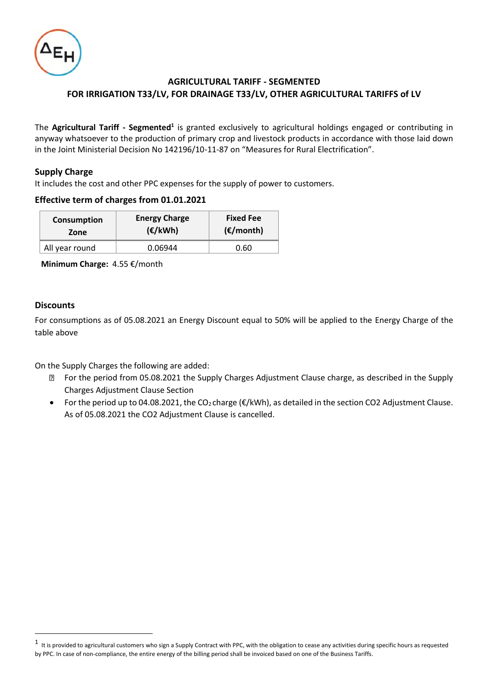

# **AGRICULTURAL TARIFF - SEGMENTED FOR IRRIGATION Τ33/LV, FOR DRAINAGE Τ33/LV, OTHER AGRICULTURAL TARIFFS of LV**

The Agricultural Tariff - Segmented<sup>1</sup> is granted exclusively to agricultural holdings engaged or contributing in anyway whatsoever to the production of primary crop and livestock products in accordance with those laid down in the Joint Ministerial Decision No 142196/10-11-87 on "Measures for Rural Electrification".

## **Supply Charge**

It includes the cost and other PPC expenses for the supply of power to customers.

## **Effective term of charges from 01.01.2021**

| Consumption    | <b>Energy Charge</b> | <b>Fixed Fee</b>    |  |
|----------------|----------------------|---------------------|--|
| Zone           | (E/kWh)              | $(\epsilon$ /month) |  |
| All year round | 0.06944              | 0.60                |  |

 **Minimum Charge:** 4.55 €/month

## **Discounts**

For consumptions as of 05.08.2021 an Energy Discount equal to 50% will be applied to the Energy Charge of the table above

On the Supply Charges the following are added:

- For the period from 05.08.2021 the Supply Charges Adjustment Clause charge, as described in the Supply Charges Adjustment Clause Section
- For the period up to 04.08.2021, the CO<sub>2</sub> charge ( $E/kWh$ ), as detailed in the section CO2 Adjustment Clause. As of 05.08.2021 the CO2 Adjustment Clause is cancelled.

 $^1$  It is provided to agricultural customers who sign a Supply Contract with PPC, with the obligation to cease any activities during specific hours as requested by PPC. In case of non-compliance, the entire energy of the billing period shall be invoiced based on one of the Business Tariffs.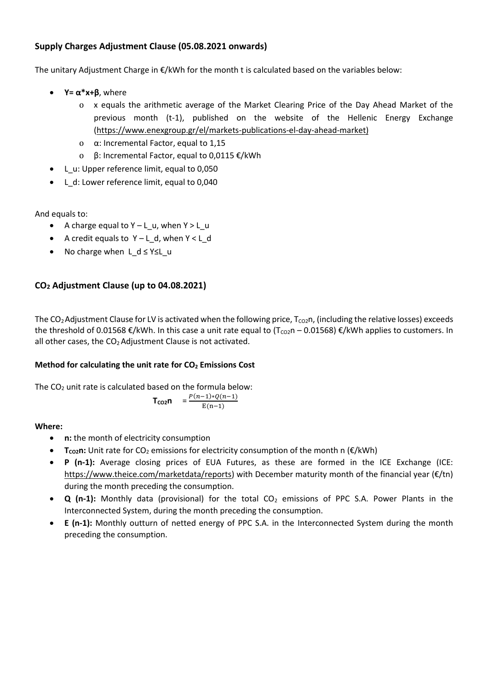# **Supply Charges Adjustment Clause (05.08.2021 onwards)**

The unitary Adjustment Charge in €/kWh for the month t is calculated based on the variables below:

- **Y**=  $\alpha^*$ **x**+ $\beta$ , where
	- o x equals the arithmetic average of the Market Clearing Price of the Day Ahead Market of the previous month (t-1), published on the website of the Hellenic Energy Exchange [\(https://www.enexgroup.gr/el/markets-publications-el-day-ahead-market\)](https://www.enexgroup.gr/el/markets-publications-el-day-ahead-market)
	- o α: Incremental Factor, equal to 1,15
	- o β: Incremental Factor, equal to 0,0115 €/kWh
- L\_u: Upper reference limit, equal to 0,050
- L\_d: Lower reference limit, equal to 0,040

And equals to:

- A charge equal to Υ L\_u, when Y > L\_u
- A credit equals to Υ L\_d, when Υ < L\_d
- No charge when L d ≤ Y≤L u

# **CO<sup>2</sup> Adjustment Clause (up to 04.08.2021)**

The CO<sub>2</sub> Adjustment Clause for LV is activated when the following price,  $T_{\rm CO2}$ n, (including the relative losses) exceeds the threshold of 0.01568  $\epsilon$ /kWh. In this case a unit rate equal to (T<sub>co2</sub>n – 0.01568)  $\epsilon$ /kWh applies to customers. In all other cases, the  $CO<sub>2</sub>$  Adjustment Clause is not activated.

## **Method for calculating the unit rate for CO<sup>2</sup> Emissions Cost**

The CO<sub>2</sub> unit rate is calculated based on the formula below:

$$
T_{CO2}n = \frac{P(n-1)*Q(n-1)}{E(n-1)}
$$

## **Where:**

- **n:** the month of electricity consumption
- **■ T**<sub>co2</sub>**n**: Unit rate for CO<sub>2</sub> emissions for electricity consumption of the month n (€/kWh)
- **P (n-1):** Average closing prices of EUA Futures, as these are formed in the ICE Exchange (ICE: [https://www.theice.com/marketdata/reports\)](https://www.theice.com/marketdata/reports) with December maturity month of the financial year (€/tn) during the month preceding the consumption.
- **Q** (n-1): Monthly data (provisional) for the total CO<sub>2</sub> emissions of PPC S.A. Power Plants in the Interconnected System, during the month preceding the consumption.
- **E (n-1):** Monthly outturn of netted energy of PPC S.A. in the Interconnected System during the month preceding the consumption.